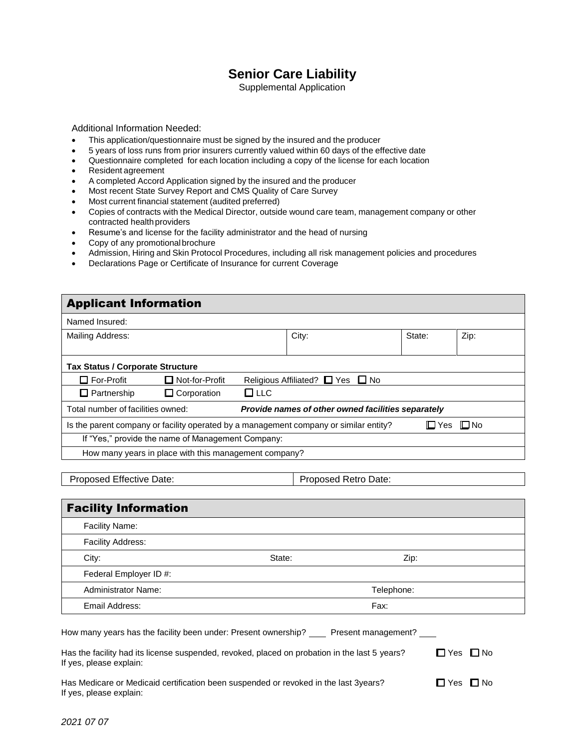## **Senior Care Liability**

Supplemental Application

Additional Information Needed:

- This application/questionnaire must be signed by the insured and the producer
- 5 years of loss runs from prior insurers currently valued within 60 days of the effective date
- Questionnaire completed for each location including a copy of the license for each location
- Resident agreement
- A completed Accord Application signed by the insured and the producer
- Most recent State Survey Report and CMS Quality of Care Survey
- Most current financial statement (audited preferred)
- Copies of contracts with the Medical Director, outside wound care team, management company or other contracted health providers
- Resume's and license for the facility administrator and the head of nursing
- Copy of any promotionalbrochure
- Admission, Hiring and Skin Protocol Procedures, including all risk management policies and procedures
- Declarations Page or Certificate of Insurance for current Coverage

| <b>Applicant Information</b>                                                                          |                                                                                         |               |                                  |  |        |      |
|-------------------------------------------------------------------------------------------------------|-----------------------------------------------------------------------------------------|---------------|----------------------------------|--|--------|------|
| Named Insured:                                                                                        |                                                                                         |               |                                  |  |        |      |
| Mailing Address:                                                                                      |                                                                                         |               | City:                            |  | State: | Zip: |
|                                                                                                       |                                                                                         |               |                                  |  |        |      |
| <b>Tax Status / Corporate Structure</b>                                                               |                                                                                         |               |                                  |  |        |      |
| $\Box$ For-Profit                                                                                     | Not-for-Profit                                                                          |               | Religious Affiliated? ■ Yes ■ No |  |        |      |
| $\Box$ Partnership                                                                                    | $\Box$ Corporation                                                                      | $\square$ LLC |                                  |  |        |      |
|                                                                                                       | Total number of facilities owned:<br>Provide names of other owned facilities separately |               |                                  |  |        |      |
| I⊟ Yes I⊟ No<br>Is the parent company or facility operated by a management company or similar entity? |                                                                                         |               |                                  |  |        |      |
| If "Yes," provide the name of Management Company:                                                     |                                                                                         |               |                                  |  |        |      |
|                                                                                                       | How many years in place with this management company?                                   |               |                                  |  |        |      |
|                                                                                                       |                                                                                         |               |                                  |  |        |      |

Proposed Effective Date: Proposed Retro Date:

| <b>Facility Information</b>                                    |        |                     |  |  |
|----------------------------------------------------------------|--------|---------------------|--|--|
| Facility Name:                                                 |        |                     |  |  |
| Facility Address:                                              |        |                     |  |  |
| City:                                                          | State: | Zip:                |  |  |
| Federal Employer ID #:                                         |        |                     |  |  |
| <b>Administrator Name:</b>                                     |        | Telephone:          |  |  |
| Email Address:                                                 |        | Fax:                |  |  |
| How many years has the facility been under: Present ownership? |        | Present management? |  |  |

| Has the facility had its license suspended, revoked, placed on probation in the last 5 years? | ΠYes ΠNo |  |
|-----------------------------------------------------------------------------------------------|----------|--|
| If yes, please explain:                                                                       |          |  |

Has Medicare or Medicaid certification been suspended or revoked in the last 3years?  $\square$  Yes  $\square$  No If yes, please explain: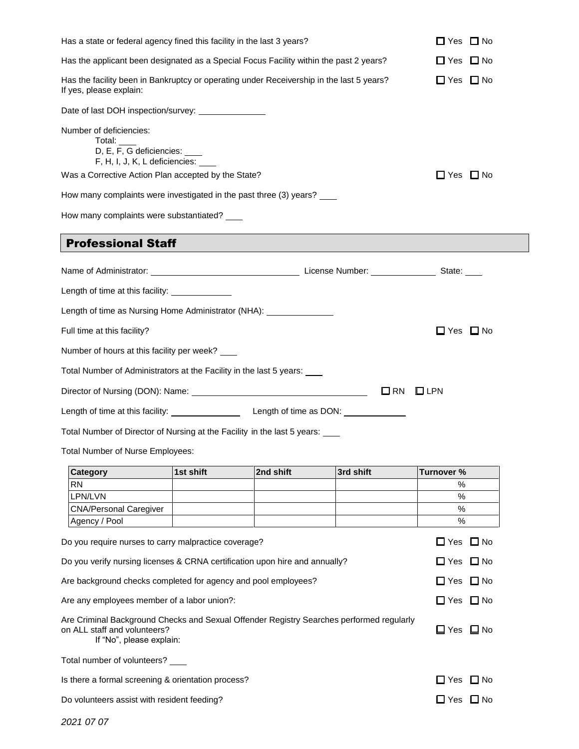|                                                                                                                                                      |                            | Has a state or federal agency fined this facility in the last 3 years? |              | □ Yes<br>$\Box$ No           |
|------------------------------------------------------------------------------------------------------------------------------------------------------|----------------------------|------------------------------------------------------------------------|--------------|------------------------------|
| Has the applicant been designated as a Special Focus Facility within the past 2 years?                                                               |                            |                                                                        |              | $\Box$ Yes $\Box$ No         |
| Has the facility been in Bankruptcy or operating under Receivership in the last 5 years?<br>If yes, please explain:                                  | $\Box$ Yes<br>$\square$ No |                                                                        |              |                              |
| Date of last DOH inspection/survey: ________________                                                                                                 |                            |                                                                        |              |                              |
| Number of deficiencies:<br>Total:<br>D, E, F, G deficiencies: ____<br>F, H, I, J, K, L deficiencies:                                                 |                            |                                                                        |              |                              |
| Was a Corrective Action Plan accepted by the State?                                                                                                  |                            |                                                                        |              | $\Box$ Yes $\Box$ No         |
| How many complaints were investigated in the past three (3) years?                                                                                   |                            |                                                                        |              |                              |
| How many complaints were substantiated?                                                                                                              |                            |                                                                        |              |                              |
| <b>Professional Staff</b>                                                                                                                            |                            |                                                                        |              |                              |
|                                                                                                                                                      |                            |                                                                        |              |                              |
| Length of time at this facility: ______________                                                                                                      |                            |                                                                        |              |                              |
| Length of time as Nursing Home Administrator (NHA): ____________________________                                                                     |                            |                                                                        |              |                              |
| Full time at this facility?                                                                                                                          |                            |                                                                        |              | $\Box$ Yes $\Box$ No         |
| Number of hours at this facility per week? ___                                                                                                       |                            |                                                                        |              |                              |
| Total Number of Administrators at the Facility in the last 5 years:                                                                                  |                            |                                                                        |              |                              |
|                                                                                                                                                      |                            |                                                                        |              |                              |
|                                                                                                                                                      |                            |                                                                        | $\square$ RN | $\square$ LPN                |
|                                                                                                                                                      |                            |                                                                        |              |                              |
| Total Number of Director of Nursing at the Facility in the last 5 years:                                                                             |                            |                                                                        |              |                              |
| Total Number of Nurse Employees:                                                                                                                     |                            |                                                                        |              |                              |
| Category                                                                                                                                             | 1st shift                  | 2nd shift                                                              | 3rd shift    | Turnover %                   |
| RN                                                                                                                                                   |                            |                                                                        |              | %                            |
| LPN/LVN                                                                                                                                              |                            |                                                                        |              | %                            |
| <b>CNA/Personal Caregiver</b><br>Agency / Pool                                                                                                       |                            |                                                                        |              | %<br>%                       |
| Do you require nurses to carry malpractice coverage?                                                                                                 |                            |                                                                        |              | $\Box$ Yes<br>∐ No           |
| Do you verify nursing licenses & CRNA certification upon hire and annually?                                                                          |                            |                                                                        |              | $\Box$ Yes<br>$\square$ No   |
| Are background checks completed for agency and pool employees?                                                                                       |                            |                                                                        |              | $\Box$ Yes<br>$\square$ No   |
| Are any employees member of a labor union?:                                                                                                          |                            |                                                                        |              | $\Box$ Yes<br>$\Box$ No      |
| Are Criminal Background Checks and Sexual Offender Registry Searches performed regularly<br>on ALL staff and volunteers?<br>If "No", please explain: |                            |                                                                        |              | $\Box$ Yes<br>$\Box$ No      |
| Total number of volunteers?                                                                                                                          |                            |                                                                        |              |                              |
| Is there a formal screening & orientation process?                                                                                                   |                            |                                                                        |              | $\square$ No<br>$\sqcup$ Yes |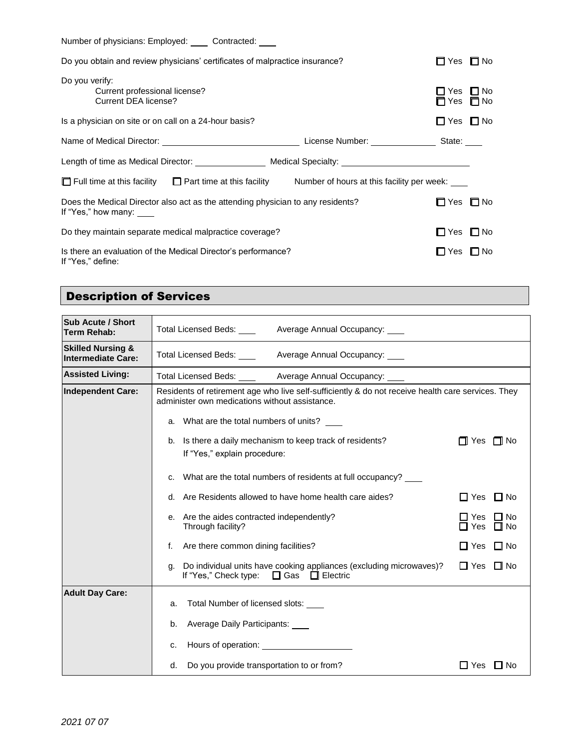Number of physicians: Employed: \_\_\_\_ Contracted: \_\_\_\_

| Do you obtain and review physicians' certificates of malpractice insurance?                                       | $\Box$ Yes $\Box$ No             |                        |
|-------------------------------------------------------------------------------------------------------------------|----------------------------------|------------------------|
| Do you verify:<br>Current professional license?<br>Current DEA license?                                           | $\blacksquare$ Yes<br>$\Box$ Yes | $\Box$ No<br>$\Box$ No |
| Is a physician on site or on call on a 24-hour basis?                                                             | □ Yes                            | $\square$ No           |
| License Number: _________                                                                                         | State:                           |                        |
| Length of time as Medical Director: Medical Specialty:                                                            |                                  |                        |
| $\Box$ Full time at this facility $\Box$ Part time at this facility<br>Number of hours at this facility per week: |                                  |                        |
| Does the Medical Director also act as the attending physician to any residents?<br>If "Yes," how many: ___        | $\Box$ Yes                       | $\Box$ No              |
| Do they maintain separate medical malpractice coverage?                                                           | $\Box$ Yes                       | <b>ITI</b> No          |
| Is there an evaluation of the Medical Director's performance?<br>If "Yes," define:                                | $\Box$ Yes                       | $\square$ No           |

# Description of Services

| <b>Sub Acute / Short</b><br><b>Term Rehab:</b>            | Total Licensed Beds:                 Average Annual Occupancy:                             Average Annual Occupancy:                                                                                 |                                               |  |  |  |
|-----------------------------------------------------------|------------------------------------------------------------------------------------------------------------------------------------------------------------------------------------------------------|-----------------------------------------------|--|--|--|
| <b>Skilled Nursing &amp;</b><br><b>Intermediate Care:</b> | Total Licensed Beds: _____ Average Annual Occupancy: ____                                                                                                                                            |                                               |  |  |  |
| <b>Assisted Living:</b>                                   | Total Licensed Beds: _____ Average Annual Occupancy: _____ ________________                                                                                                                          |                                               |  |  |  |
| <b>Independent Care:</b>                                  | Residents of retirement age who live self-sufficiently & do not receive health care services. They<br>administer own medications without assistance.<br>a. What are the total numbers of units? ____ |                                               |  |  |  |
|                                                           | b. Is there a daily mechanism to keep track of residents?<br>If "Yes," explain procedure:                                                                                                            | $\Box$ Yes $\Box$ No                          |  |  |  |
|                                                           | c. What are the total numbers of residents at full occupancy?                                                                                                                                        |                                               |  |  |  |
|                                                           | d. Are Residents allowed to have home health care aides?<br>$\Box$ Yes<br>$\Box$ No                                                                                                                  |                                               |  |  |  |
|                                                           | e. Are the aides contracted independently?<br>Through facility?                                                                                                                                      | ∃ Yes<br>$\Box$ No<br>$\Box$ Yes<br>$\Box$ No |  |  |  |
|                                                           | Are there common dining facilities?<br>f.                                                                                                                                                            | $\Box$ No<br>$\Box$ Yes                       |  |  |  |
|                                                           | Do individual units have cooking appliances (excluding microwaves)?<br>q.<br>If "Yes," Check type: $\Box$ Gas $\Box$ Electric                                                                        | $\Box$ Yes<br>$\Box$ No                       |  |  |  |
| <b>Adult Day Care:</b>                                    | Total Number of licensed slots:<br>a.                                                                                                                                                                |                                               |  |  |  |
|                                                           | Average Daily Participants:<br>b.                                                                                                                                                                    |                                               |  |  |  |
|                                                           | Hours of operation: <u>contained</u><br>c.                                                                                                                                                           |                                               |  |  |  |
|                                                           | Do you provide transportation to or from?<br>d.                                                                                                                                                      | ⊟ Yes<br>L INo                                |  |  |  |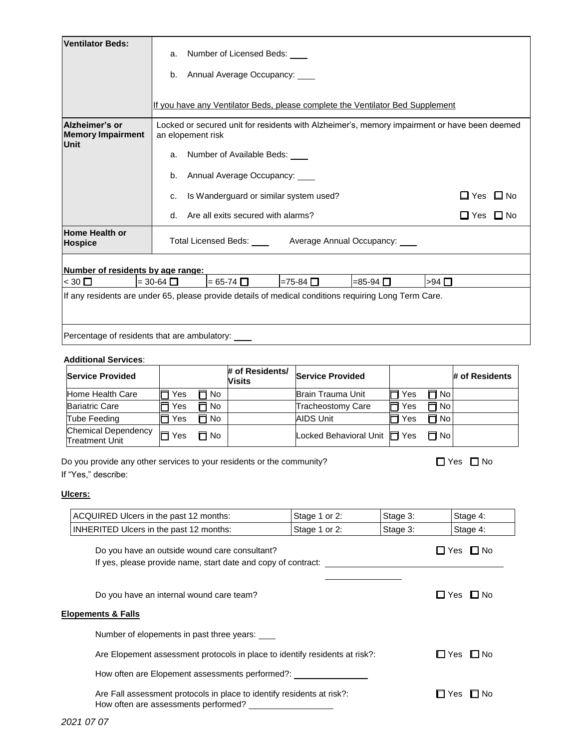| <b>Ventilator Beds:</b>                                                                               | a.<br>b.                                                                                                          |           | Number of Licensed Beds:<br>Annual Average Occupancy: |                                                                                |              |               |                         |
|-------------------------------------------------------------------------------------------------------|-------------------------------------------------------------------------------------------------------------------|-----------|-------------------------------------------------------|--------------------------------------------------------------------------------|--------------|---------------|-------------------------|
|                                                                                                       |                                                                                                                   |           |                                                       | If you have any Ventilator Beds, please complete the Ventilator Bed Supplement |              |               |                         |
| Alzheimer's or<br><b>Memory Impairment</b><br>Unit                                                    | Locked or secured unit for residents with Alzheimer's, memory impairment or have been deemed<br>an elopement risk |           |                                                       |                                                                                |              |               |                         |
|                                                                                                       | a.                                                                                                                |           | Number of Available Beds: ____                        |                                                                                |              |               |                         |
|                                                                                                       | b.                                                                                                                |           | Annual Average Occupancy:                             |                                                                                |              |               |                         |
|                                                                                                       | c.                                                                                                                |           | Is Wanderguard or similar system used?                |                                                                                |              |               | $\Box$ Yes<br>$\Box$ No |
|                                                                                                       | d.                                                                                                                |           | Are all exits secured with alarms?                    |                                                                                |              |               | $\Box$ Yes $\Box$ No    |
| Home Health or<br><b>Hospice</b>                                                                      |                                                                                                                   |           | Total Licensed Beds: ____                             | Average Annual Occupancy: ____                                                 |              |               |                         |
| Number of residents by age range:                                                                     |                                                                                                                   |           |                                                       |                                                                                |              |               |                         |
| $<$ 30 □                                                                                              | $=$ 30-64 $\Box$                                                                                                  |           | $= 65-74$ $\Box$                                      | $=75-84$<br>$=85-94$ $\Box$                                                    |              | $>94$ $\Box$  |                         |
| If any residents are under 65, please provide details of medical conditions requiring Long Term Care. |                                                                                                                   |           |                                                       |                                                                                |              |               |                         |
| Percentage of residents that are ambulatory:                                                          |                                                                                                                   |           |                                                       |                                                                                |              |               |                         |
| <b>Additional Services:</b>                                                                           |                                                                                                                   |           |                                                       |                                                                                |              |               |                         |
| <b>Service Provided</b>                                                                               |                                                                                                                   |           | # of Residents/<br>Visits                             | <b>Service Provided</b>                                                        |              |               | # of Residents          |
| Home Health Care                                                                                      | Yes                                                                                                               | $\Box$ No |                                                       | Brain Trauma Unit                                                              | $\sqcap$ Yes | $\Box$ No     |                         |
| <b>Bariatric Care</b>                                                                                 | Yes                                                                                                               | No        |                                                       | <b>Tracheostomy Care</b>                                                       | Yes          | п<br>No       |                         |
| Tube Feeding                                                                                          | $\Box$ Yes                                                                                                        | $\Box$ No |                                                       | <b>AIDS Unit</b>                                                               | Yes          | Π No          |                         |
| <b>Chemical Dependency</b><br><b>Treatment Unit</b>                                                   | $\Box$ Yes                                                                                                        | $\Box$ No |                                                       | Locked Behavioral Unit   Yes                                                   |              | $\Box$ No     |                         |
| Do you provide any other services to your residents or the community?                                 |                                                                                                                   |           |                                                       |                                                                                |              | $\square$ Yes | ∏ No                    |

If "Yes," describe:

#### **Ulcers:**

| ACQUIRED Ulcers in the past 12 months:                                                                                                                                      | Stage 1 or 2: | Stage 3: | Stage 4:              |
|-----------------------------------------------------------------------------------------------------------------------------------------------------------------------------|---------------|----------|-----------------------|
| <b>INHERITED Ulcers in the past 12 months:</b>                                                                                                                              | Stage 1 or 2: | Stage 3: | Stage 4:              |
| Do you have an outside wound care consultant?<br>If yes, please provide name, start date and copy of contract:                                                              |               |          | ∐ Yes □ No            |
| Do you have an internal wound care team?<br><b>Elopements &amp; Falls</b>                                                                                                   |               |          | ∐ Yes ∐ No            |
| Number of elopements in past three years:<br>Are Elopement assessment protocols in place to identify residents at risk?:<br>How often are Elopement assessments performed?: |               |          | l⊟ Yes<br>I I No      |
| Are Fall assessment protocols in place to identify residents at risk?:<br>How often are assessments performed?                                                              |               |          | <b>⊡</b> No<br>l⊟ Yes |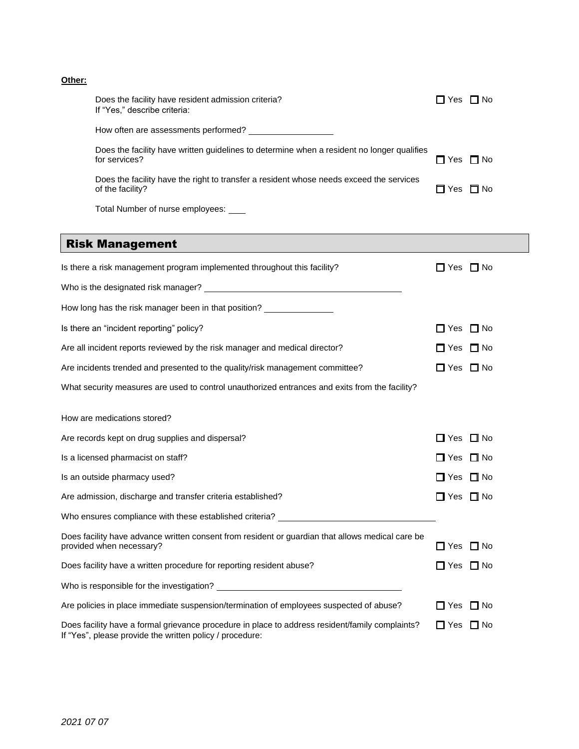#### **Other:**

| Does the facility have resident admission criteria?<br>If "Yes," describe criteria:                         | □ Yes □ No           |  |
|-------------------------------------------------------------------------------------------------------------|----------------------|--|
| How often are assessments performed?                                                                        |                      |  |
| Does the facility have written guidelines to determine when a resident no longer qualifies<br>for services? | $\Box$ Yes $\Box$ No |  |
| Does the facility have the right to transfer a resident whose needs exceed the services<br>of the facility? | $\Box$ Yes $\Box$ No |  |
| Total Number of nurse employees:                                                                            |                      |  |

## Risk Management

| Is there a risk management program implemented throughout this facility?                                                                                    | $\Box$ No<br>□ Yes      |
|-------------------------------------------------------------------------------------------------------------------------------------------------------------|-------------------------|
| Who is the designated risk manager?<br><u> Who is the designated risk manager?</u>                                                                          |                         |
| How long has the risk manager been in that position?                                                                                                        |                         |
| Is there an "incident reporting" policy?                                                                                                                    | $\Box$ Yes<br>$\Box$ No |
| Are all incident reports reviewed by the risk manager and medical director?                                                                                 | $\Box$ Yes $\Box$ No    |
| Are incidents trended and presented to the quality/risk management committee?                                                                               | $\Box$ Yes $\Box$ No    |
| What security measures are used to control unauthorized entrances and exits from the facility?                                                              |                         |
| How are medications stored?                                                                                                                                 |                         |
| Are records kept on drug supplies and dispersal?                                                                                                            | □ Yes □ No              |
| Is a licensed pharmacist on staff?                                                                                                                          | $\Box$ Yes $\Box$ No    |
| Is an outside pharmacy used?                                                                                                                                | □ Yes □ No              |
| Are admission, discharge and transfer criteria established?                                                                                                 | $\Box$ Yes $\Box$ No    |
| Who ensures compliance with these established criteria? ________________________                                                                            |                         |
| Does facility have advance written consent from resident or guardian that allows medical care be<br>provided when necessary?                                | $\Box$ Yes $\Box$ No    |
| Does facility have a written procedure for reporting resident abuse?                                                                                        | $\Box$ Yes $\Box$ No    |
|                                                                                                                                                             |                         |
| Are policies in place immediate suspension/termination of employees suspected of abuse?                                                                     | $\Box$ Yes $\Box$ No    |
| Does facility have a formal grievance procedure in place to address resident/family complaints?<br>If "Yes", please provide the written policy / procedure: | □ Yes<br>$\Box$ No      |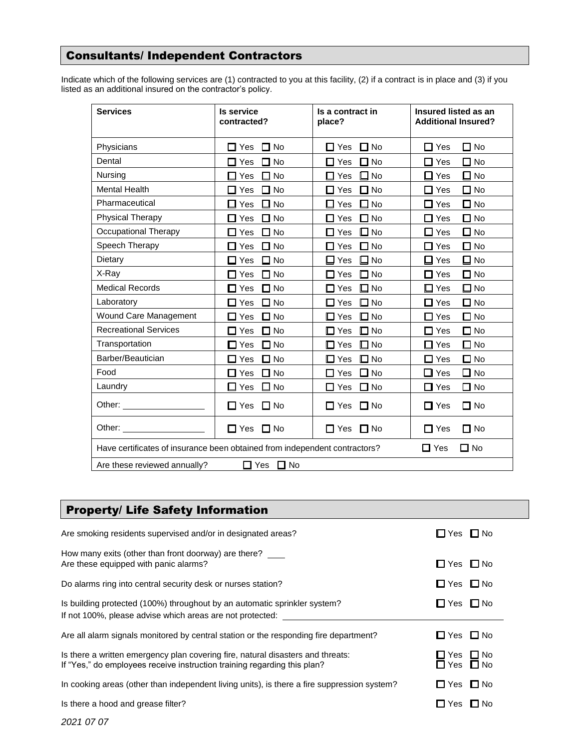## Consultants/ Independent Contractors

Indicate which of the following services are (1) contracted to you at this facility, (2) if a contract is in place and (3) if you listed as an additional insured on the contractor's policy.

| <b>Services</b>                                                                                                                                                                                                                | <b>Is service</b>                  | Is a contract in                                       | Insured listed as an          |  |
|--------------------------------------------------------------------------------------------------------------------------------------------------------------------------------------------------------------------------------|------------------------------------|--------------------------------------------------------|-------------------------------|--|
|                                                                                                                                                                                                                                | contracted?                        | place?                                                 | <b>Additional Insured?</b>    |  |
| Physicians                                                                                                                                                                                                                     | ∩ No<br>Yes<br>П                   | ⊐ No<br>$\Box$ Yes                                     | $\square$ No<br>Yes           |  |
| Dental                                                                                                                                                                                                                         | Yes<br>$\Box$ No<br>П              | $\Box$ No<br>$\square$ Yes                             | $\square$ No<br>$\Box$ Yes    |  |
| Nursing                                                                                                                                                                                                                        | Yes<br>∃ No                        | <b>No</b><br>Yes<br>$\overline{\phantom{a}}$<br>$\Box$ | □ No<br>Yes                   |  |
| <b>Mental Health</b>                                                                                                                                                                                                           | <b>No</b><br>Yes                   | No<br>П<br>Yes<br>- 1                                  | $\square$ No<br>Yes           |  |
| Pharmaceutical                                                                                                                                                                                                                 | <b>No</b>                          | $\Box$ No                                              | $\square$ No                  |  |
|                                                                                                                                                                                                                                | Yes                                | $\square$ Yes                                          | Yes                           |  |
| <b>Physical Therapy</b>                                                                                                                                                                                                        | Yes                                | $\square$ No                                           | $\square$ No                  |  |
|                                                                                                                                                                                                                                | No                                 | $\Box$ Yes                                             | $\Box$ Yes                    |  |
| Occupational Therapy                                                                                                                                                                                                           | <b>No</b><br>Yes<br>$\blacksquare$ | $\square$ No<br>$\square$ Yes                          | $\square$ No<br>$\square$ Yes |  |
| Speech Therapy                                                                                                                                                                                                                 | Yes<br><b>No</b>                   | $\Box$ No<br>Yes<br>П                                  | $\square$ No<br>Yes           |  |
| Dietary                                                                                                                                                                                                                        | Yes<br>No L                        | $\square$ No<br>$\Box$<br>Yes                          | $\square$ No<br>Yes           |  |
| X-Ray                                                                                                                                                                                                                          | ∃ No<br>Yes                        | $\square$ No<br>Yes<br>П                               | $\square$ No<br>Yes           |  |
| <b>Medical Records</b>                                                                                                                                                                                                         | ⊐ No                               | $\square$ No                                           | $\square$ No                  |  |
|                                                                                                                                                                                                                                | Yes                                | $\square$ Yes                                          | $\Box$ Yes                    |  |
| Laboratory                                                                                                                                                                                                                     | Yes<br><b>No</b>                   | $\square$ No<br>Yes<br>П.                              | $\square$ No<br>Yes<br>LΙ     |  |
| Wound Care Management                                                                                                                                                                                                          | Yes                                | $\square$ No                                           | $\square$ No                  |  |
|                                                                                                                                                                                                                                | <b>No</b>                          | $\square$ Yes                                          | $\Box$ Yes                    |  |
| <b>Recreational Services</b>                                                                                                                                                                                                   | <b>No</b>                          | $\square$ No                                           | $\square$ No                  |  |
|                                                                                                                                                                                                                                | Yes                                | $\Box$ Yes                                             | $\Box$ Yes                    |  |
| Transportation                                                                                                                                                                                                                 | $\Box$ No                          | $\square$ No                                           | $\square$ No                  |  |
|                                                                                                                                                                                                                                | Yes                                | $\square$ Yes                                          | $\square$ Yes                 |  |
| Barber/Beautician                                                                                                                                                                                                              | Yes                                | $\square$ No                                           | $\square$ No                  |  |
|                                                                                                                                                                                                                                | ⊐ No                               | $\square$ Yes                                          | $\Box$ Yes                    |  |
| Food                                                                                                                                                                                                                           | Yes                                | $\square$ No                                           | $\square$ No                  |  |
|                                                                                                                                                                                                                                | ⊐ No                               | $\Box$ Yes                                             | ∐ Yes                         |  |
| Laundry                                                                                                                                                                                                                        | Yes                                | $\Box$ Yes                                             | $\square$ No                  |  |
|                                                                                                                                                                                                                                | □ No                               | $\Box$ No                                              | Yes                           |  |
| Other: <u>www.community.com</u>                                                                                                                                                                                                | $\Box$ Yes                         | $\Box$ No                                              | $\Box$ No                     |  |
|                                                                                                                                                                                                                                | $\Box$ No                          | $\Box$ Yes                                             | $\Box$ Yes                    |  |
| Other: and the contract of the contract of the contract of the contract of the contract of the contract of the contract of the contract of the contract of the contract of the contract of the contract of the contract of the | $\Box$ Yes                         | $\Box$ No                                              | $\Box$ No                     |  |
|                                                                                                                                                                                                                                | $\Box$ No                          | $\Box$ Yes                                             | □ Yes                         |  |
| Have certificates of insurance been obtained from independent contractors?                                                                                                                                                     |                                    |                                                        | $\square$ Yes<br>∐ No         |  |
| □ Yes<br>$\Box$ No<br>Are these reviewed annually?                                                                                                                                                                             |                                    |                                                        |                               |  |

## Property/ Life Safety Information

| Are smoking residents supervised and/or in designated areas?                                                                                                | l⊟ Yes L⊟ No                     |
|-------------------------------------------------------------------------------------------------------------------------------------------------------------|----------------------------------|
| How many exits (other than front doorway) are there?<br>Are these equipped with panic alarms?                                                               | $\Box$ Yes $\Box$ No             |
| Do alarms ring into central security desk or nurses station?                                                                                                | $\Box$ Yes $\Box$ No             |
| Is building protected (100%) throughout by an automatic sprinkler system?<br>If not 100%, please advise which areas are not protected:                      | $\Box$ Yes $\Box$ No             |
| Are all alarm signals monitored by central station or the responding fire department?                                                                       | $\Box$ Yes $\Box$ No             |
| Is there a written emergency plan covering fire, natural disasters and threats:<br>If "Yes," do employees receive instruction training regarding this plan? | $\Box$ Yes $\Box$ No<br>ΠYes ΠNo |
| In cooking areas (other than independent living units), is there a fire suppression system?                                                                 | $\Box$ Yes $\Box$ No             |
| Is there a hood and grease filter?                                                                                                                          | $\Box$ No<br>$\Box$ Yes          |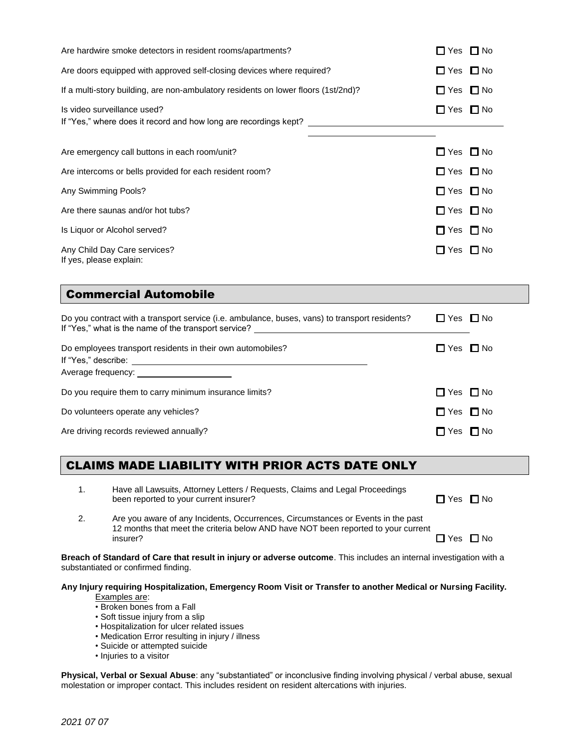| Are hardwire smoke detectors in resident rooms/apartments?                                                                                                 |                                                                                                                                                                                   | $\Box$ Yes $\Box$ No |                      |  |  |
|------------------------------------------------------------------------------------------------------------------------------------------------------------|-----------------------------------------------------------------------------------------------------------------------------------------------------------------------------------|----------------------|----------------------|--|--|
| Are doors equipped with approved self-closing devices where required?                                                                                      |                                                                                                                                                                                   | $\Box$ Yes $\Box$ No |                      |  |  |
| If a multi-story building, are non-ambulatory residents on lower floors (1st/2nd)?                                                                         |                                                                                                                                                                                   | $\Box$ Yes $\Box$ No |                      |  |  |
|                                                                                                                                                            | Is video surveillance used?<br>If "Yes," where does it record and how long are recordings kept? ________________                                                                  | $\Box$ Yes $\Box$ No |                      |  |  |
|                                                                                                                                                            | Are emergency call buttons in each room/unit?                                                                                                                                     | $\Box$ Yes $\Box$ No |                      |  |  |
| Are intercoms or bells provided for each resident room?                                                                                                    |                                                                                                                                                                                   | $\Box$ Yes $\Box$ No |                      |  |  |
| Any Swimming Pools?                                                                                                                                        |                                                                                                                                                                                   | $\Box$ Yes $\Box$ No |                      |  |  |
|                                                                                                                                                            | Are there saunas and/or hot tubs?                                                                                                                                                 | $\Box$ Yes $\Box$ No |                      |  |  |
| Is Liquor or Alcohol served?                                                                                                                               |                                                                                                                                                                                   | $\Box$ Yes $\Box$ No |                      |  |  |
| If yes, please explain:                                                                                                                                    | Any Child Day Care services?                                                                                                                                                      | □ Yes □ No           |                      |  |  |
|                                                                                                                                                            | <b>Commercial Automobile</b>                                                                                                                                                      |                      |                      |  |  |
| Do you contract with a transport service (i.e. ambulance, buses, vans) to transport residents?                                                             |                                                                                                                                                                                   |                      | $\Box$ Yes $\Box$ No |  |  |
| Do employees transport residents in their own automobiles?                                                                                                 |                                                                                                                                                                                   | $\Box$ Yes $\Box$ No |                      |  |  |
|                                                                                                                                                            |                                                                                                                                                                                   |                      |                      |  |  |
| Do you require them to carry minimum insurance limits?                                                                                                     |                                                                                                                                                                                   | $\Box$ Yes $\Box$ No |                      |  |  |
| Do volunteers operate any vehicles?                                                                                                                        |                                                                                                                                                                                   | $\Box$ Yes $\Box$ No |                      |  |  |
| Are driving records reviewed annually?                                                                                                                     |                                                                                                                                                                                   | $\Box$ Yes $\Box$ No |                      |  |  |
|                                                                                                                                                            | CLAIMS MADE LIABILITY WITH PRIOR ACTS DATE ONLY                                                                                                                                   |                      |                      |  |  |
| 1.                                                                                                                                                         | Have all Lawsuits, Attorney Letters / Requests, Claims and Legal Proceedings<br>been reported to your current insurer?                                                            | $\Box$ Yes $\Box$ No |                      |  |  |
| 2.                                                                                                                                                         | Are you aware of any Incidents, Occurrences, Circumstances or Events in the past<br>12 months that meet the criteria below AND have NOT been reported to your current<br>insurer? | $\Box$ Yes $\Box$ No |                      |  |  |
| Breach of Standard of Care that result in injury or adverse outcome. This includes an internal investigation with a<br>substantiated or confirmed finding. |                                                                                                                                                                                   |                      |                      |  |  |
| Any Injury requiring Hospitalization, Emergency Room Visit or Transfer to another Medical or Nursing Facility.                                             |                                                                                                                                                                                   |                      |                      |  |  |

Examples are:

- Broken bones from a Fall
- Soft tissue injury from a slip
- Hospitalization for ulcer related issues
- Medication Error resulting in injury / illness
- Suicide or attempted suicide
- Injuries to a visitor

**Physical, Verbal or Sexual Abuse**: any "substantiated" or inconclusive finding involving physical / verbal abuse, sexual molestation or improper contact. This includes resident on resident altercations with injuries.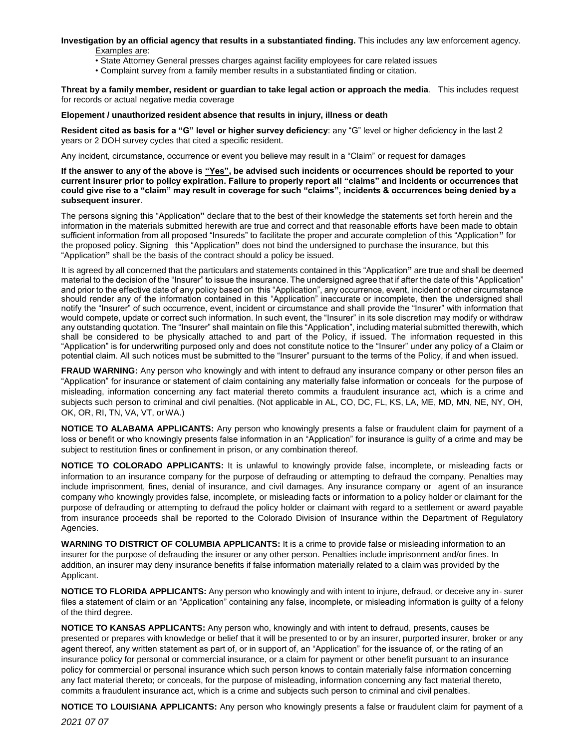**Investigation by an official agency that results in a substantiated finding.** This includes any law enforcement agency. Examples are:

- State Attorney General presses charges against facility employees for care related issues
- Complaint survey from a family member results in a substantiated finding or citation.

**Threat by a family member, resident or guardian to take legal action or approach the media**. This includes request for records or actual negative media coverage

#### **Elopement / unauthorized resident absence that results in injury, illness or death**

**Resident cited as basis for a "G" level or higher survey deficiency**: any "G" level or higher deficiency in the last 2 years or 2 DOH survey cycles that cited a specific resident.

Any incident, circumstance, occurrence or event you believe may result in a "Claim" or request for damages

**If the answer to any of the above is "Yes", be advised such incidents or occurrences should be reported to your current insurer prior to policy expiration. Failure to properly report all "claims" and incidents or occurrences that could give rise to a "claim" may result in coverage for such "claims", incidents & occurrences being denied by a subsequent insurer**.

The persons signing this "Application**"** declare that to the best of their knowledge the statements set forth herein and the information in the materials submitted herewith are true and correct and that reasonable efforts have been made to obtain sufficient information from all proposed "Insureds" to facilitate the proper and accurate completion of this "Application**"** for the proposed policy. Signing this "Application**"** does not bind the undersigned to purchase the insurance, but this "Application**"** shall be the basis of the contract should a policy be issued.

It is agreed by all concerned that the particulars and statements contained in this "Application**"** are true and shall be deemed material to the decision of the "Insurer" to issue the insurance. The undersigned agree that if after the date of this "Application" and prior to the effective date of any policy based on this "Application", any occurrence, event, incident or other circumstance should render any of the information contained in this "Application" inaccurate or incomplete, then the undersigned shall notify the "Insurer" of such occurrence, event, incident or circumstance and shall provide the "Insurer" with information that would compete, update or correct such information. In such event, the "Insurer" in its sole discretion may modify or withdraw any outstanding quotation. The "Insurer" shall maintain on file this "Application", including material submitted therewith, which shall be considered to be physically attached to and part of the Policy, if issued. The information requested in this "Application" is for underwriting purposed only and does not constitute notice to the "Insurer" under any policy of a Claim or potential claim. All such notices must be submitted to the "Insurer" pursuant to the terms of the Policy, if and when issued.

**FRAUD WARNING:** Any person who knowingly and with intent to defraud any insurance company or other person files an "Application" for insurance or statement of claim containing any materially false information or conceals for the purpose of misleading, information concerning any fact material thereto commits a fraudulent insurance act, which is a crime and subjects such person to criminal and civil penalties. (Not applicable in AL, CO, DC, FL, KS, LA, ME, MD, MN, NE, NY, OH, OK, OR, RI, TN, VA, VT, orWA.)

**NOTICE TO ALABAMA APPLICANTS:** Any person who knowingly presents a false or fraudulent claim for payment of a loss or benefit or who knowingly presents false information in an "Application" for insurance is guilty of a crime and may be subject to restitution fines or confinement in prison, or any combination thereof.

**NOTICE TO COLORADO APPLICANTS:** It is unlawful to knowingly provide false, incomplete, or misleading facts or information to an insurance company for the purpose of defrauding or attempting to defraud the company. Penalties may include imprisonment, fines, denial of insurance, and civil damages. Any insurance company or agent of an insurance company who knowingly provides false, incomplete, or misleading facts or information to a policy holder or claimant for the purpose of defrauding or attempting to defraud the policy holder or claimant with regard to a settlement or award payable from insurance proceeds shall be reported to the Colorado Division of Insurance within the Department of Regulatory Agencies.

**WARNING TO DISTRICT OF COLUMBIA APPLICANTS:** It is a crime to provide false or misleading information to an insurer for the purpose of defrauding the insurer or any other person. Penalties include imprisonment and/or fines. In addition, an insurer may deny insurance benefits if false information materially related to a claim was provided by the Applicant.

**NOTICE TO FLORIDA APPLICANTS:** Any person who knowingly and with intent to injure, defraud, or deceive any in‐ surer files a statement of claim or an "Application" containing any false, incomplete, or misleading information is guilty of a felony of the third degree.

**NOTICE TO KANSAS APPLICANTS:** Any person who, knowingly and with intent to defraud, presents, causes be presented or prepares with knowledge or belief that it will be presented to or by an insurer, purported insurer, broker or any agent thereof, any written statement as part of, or in support of, an "Application" for the issuance of, or the rating of an insurance policy for personal or commercial insurance, or a claim for payment or other benefit pursuant to an insurance policy for commercial or personal insurance which such person knows to contain materially false information concerning any fact material thereto; or conceals, for the purpose of misleading, information concerning any fact material thereto, commits a fraudulent insurance act, which is a crime and subjects such person to criminal and civil penalties.

**NOTICE TO LOUISIANA APPLICANTS:** Any person who knowingly presents a false or fraudulent claim for payment of a